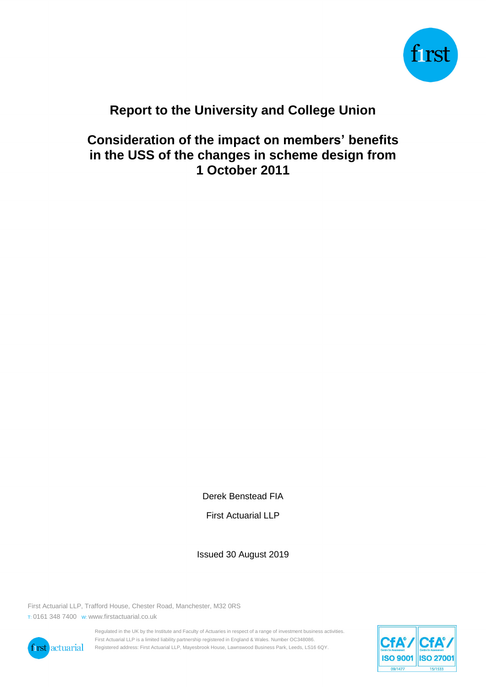

# **Report to the University and College Union**

**Consideration of the impact on members' benefits in the USS of the changes in scheme design from 1 October 2011**

Derek Benstead FIA

First Actuarial LLP

Issued 30 August 2019

First Actuarial LLP, Trafford House, Chester Road, Manchester, M32 0RS T: 0161 348 7400 W: www.firstactuarial.co.uk



Regulated in the UK by the Institute and Faculty of Actuaries in respect of a range of investment business activities. First Actuarial LLP is a limited liability partnership registered in England & Wales. Number OC348086. Registered address: First Actuarial LLP, Mayesbrook House, Lawnswood Business Park, Leeds, LS16 6QY.

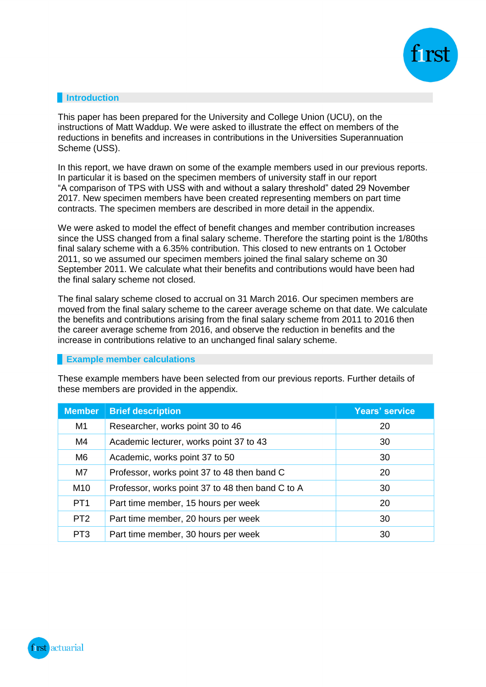

## **Introduction**

This paper has been prepared for the University and College Union (UCU), on the instructions of Matt Waddup. We were asked to illustrate the effect on members of the reductions in benefits and increases in contributions in the Universities Superannuation Scheme (USS).

In this report, we have drawn on some of the example members used in our previous reports. In particular it is based on the specimen members of university staff in our report "A comparison of TPS with USS with and without a salary threshold" dated 29 November 2017. New specimen members have been created representing members on part time contracts. The specimen members are described in more detail in the appendix.

We were asked to model the effect of benefit changes and member contribution increases since the USS changed from a final salary scheme. Therefore the starting point is the 1/80ths final salary scheme with a 6.35% contribution. This closed to new entrants on 1 October 2011, so we assumed our specimen members joined the final salary scheme on 30 September 2011. We calculate what their benefits and contributions would have been had the final salary scheme not closed.

The final salary scheme closed to accrual on 31 March 2016. Our specimen members are moved from the final salary scheme to the career average scheme on that date. We calculate the benefits and contributions arising from the final salary scheme from 2011 to 2016 then the career average scheme from 2016, and observe the reduction in benefits and the increase in contributions relative to an unchanged final salary scheme.

### **Example member calculations**

These example members have been selected from our previous reports. Further details of these members are provided in the appendix.

| <b>Member</b>   | <b>Brief description</b>                         | <b>Years' service</b> |
|-----------------|--------------------------------------------------|-----------------------|
| M <sub>1</sub>  | Researcher, works point 30 to 46                 | 20                    |
| M4              | Academic lecturer, works point 37 to 43          | 30                    |
| M <sub>6</sub>  | Academic, works point 37 to 50                   | 30                    |
| M7              | Professor, works point 37 to 48 then band C      | -20                   |
| M <sub>10</sub> | Professor, works point 37 to 48 then band C to A | 30                    |
| PT <sub>1</sub> | Part time member, 15 hours per week              | 20                    |
| PT <sub>2</sub> | Part time member, 20 hours per week              | 30                    |
| PT <sub>3</sub> | Part time member, 30 hours per week              | 30                    |

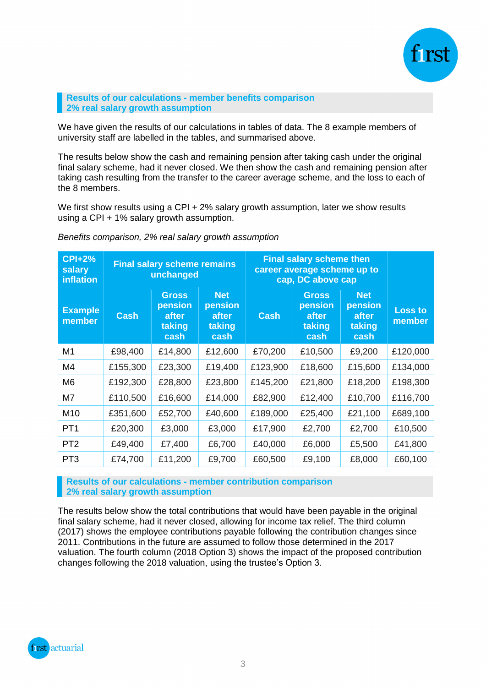

#### **Results of our calculations - member benefits comparison 2% real salary growth assumption**

We have given the results of our calculations in tables of data. The 8 example members of university staff are labelled in the tables, and summarised above.

The results below show the cash and remaining pension after taking cash under the original final salary scheme, had it never closed. We then show the cash and remaining pension after taking cash resulting from the transfer to the career average scheme, and the loss to each of the 8 members.

We first show results using a CPI + 2% salary growth assumption, later we show results using a CPI + 1% salary growth assumption.

| <b>CPI+2%</b><br>salary<br>inflation | <b>Final salary scheme remains</b><br>unchanged |                                                    | <b>Final salary scheme then</b><br>career average scheme up to<br>cap, DC above cap |             |                                                    |                                                  |                          |
|--------------------------------------|-------------------------------------------------|----------------------------------------------------|-------------------------------------------------------------------------------------|-------------|----------------------------------------------------|--------------------------------------------------|--------------------------|
| <b>Example</b><br>member             | <b>Cash</b>                                     | <b>Gross</b><br>pension<br>after<br>taking<br>cash | <b>Net</b><br>pension<br>after<br>taking<br>cash                                    | <b>Cash</b> | <b>Gross</b><br>pension<br>after<br>taking<br>cash | <b>Net</b><br>pension<br>after<br>taking<br>cash | <b>Loss to</b><br>member |
| M <sub>1</sub>                       | £98,400                                         | £14,800                                            | £12,600                                                                             | £70,200     | £10,500                                            | £9,200                                           | £120,000                 |
| M4                                   | £155,300                                        | £23,300                                            | £19,400                                                                             | £123,900    | £18,600                                            | £15,600                                          | £134,000                 |
| M <sub>6</sub>                       | £192,300                                        | £28,800                                            | £23,800                                                                             | £145,200    | £21,800                                            | £18,200                                          | £198,300                 |
| M7                                   | £110,500                                        | £16,600                                            | £14,000                                                                             | £82,900     | £12,400                                            | £10,700                                          | £116,700                 |
| M <sub>10</sub>                      | £351,600                                        | £52,700                                            | £40,600                                                                             | £189,000    | £25,400                                            | £21,100                                          | £689,100                 |
| PT <sub>1</sub>                      | £20,300                                         | £3,000                                             | £3,000                                                                              | £17,900     | £2,700                                             | £2,700                                           | £10,500                  |
| PT <sub>2</sub>                      | £49,400                                         | £7,400                                             | £6,700                                                                              | £40,000     | £6,000                                             | £5,500                                           | £41,800                  |
| PT <sub>3</sub>                      | £74,700                                         | £11,200                                            | £9,700                                                                              | £60,500     | £9,100                                             | £8,000                                           | £60,100                  |

*Benefits comparison, 2% real salary growth assumption*

**Results of our calculations - member contribution comparison 2% real salary growth assumption**

The results below show the total contributions that would have been payable in the original final salary scheme, had it never closed, allowing for income tax relief. The third column (2017) shows the employee contributions payable following the contribution changes since 2011. Contributions in the future are assumed to follow those determined in the 2017 valuation. The fourth column (2018 Option 3) shows the impact of the proposed contribution changes following the 2018 valuation, using the trustee's Option 3.

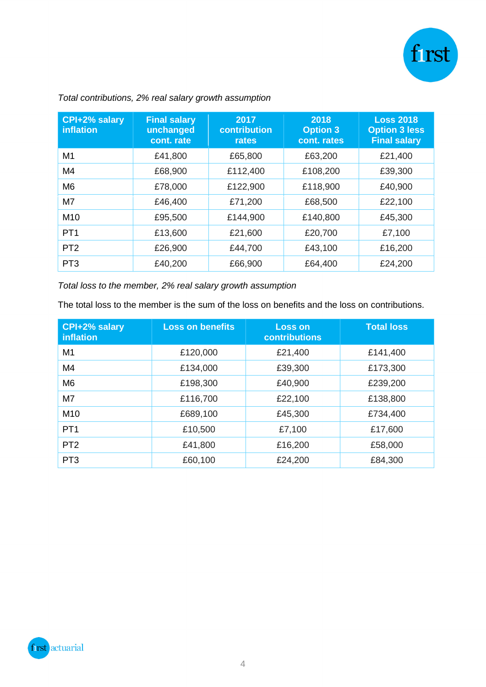

| CPI+2% salary<br><b>inflation</b> | <b>Final salary</b><br>unchanged<br>cont. rate | 2017<br>contribution<br>rates | 2018<br><b>Option 3</b><br>cont. rates | <b>Loss 2018</b><br><b>Option 3 less</b><br><b>Final salary</b> |
|-----------------------------------|------------------------------------------------|-------------------------------|----------------------------------------|-----------------------------------------------------------------|
| M <sub>1</sub>                    | £41,800                                        | £65,800                       | £63,200                                | £21,400                                                         |
| M4                                | £68,900                                        | £112,400                      | £108,200                               | £39,300                                                         |
| M <sub>6</sub>                    | £78,000                                        | £122,900                      | £118,900                               | £40,900                                                         |
| M7                                | £46,400                                        | £71,200                       | £68,500                                | £22,100                                                         |
| M10                               | £95,500                                        | £144,900                      | £140,800                               | £45,300                                                         |
| PT <sub>1</sub>                   | £13,600                                        | £21,600                       | £20,700                                | £7,100                                                          |
| PT <sub>2</sub>                   | £26,900                                        | £44,700                       | £43,100                                | £16,200                                                         |
| PT <sub>3</sub>                   | £40,200                                        | £66,900                       | £64,400                                | £24,200                                                         |

## *Total contributions, 2% real salary growth assumption*

*Total loss to the member, 2% real salary growth assumption*

The total loss to the member is the sum of the loss on benefits and the loss on contributions.

| CPI+2% salary<br>inflation | <b>Loss on benefits</b> | <b>Loss on</b><br><b>contributions</b> | <b>Total loss</b> |
|----------------------------|-------------------------|----------------------------------------|-------------------|
| M <sub>1</sub>             | £120,000                | £21,400                                | £141,400          |
| M4                         | £134,000                | £39,300                                | £173,300          |
| M <sub>6</sub>             | £198,300                | £40,900                                | £239,200          |
| M7                         | £116,700                | £22,100                                | £138,800          |
| M <sub>10</sub>            | £689,100                | £45,300                                | £734,400          |
| PT <sub>1</sub>            | £10,500                 | £7,100                                 | £17,600           |
| PT <sub>2</sub>            | £41,800                 | £16,200                                | £58,000           |
| PT <sub>3</sub>            | £60,100                 | £24,200                                | £84,300           |

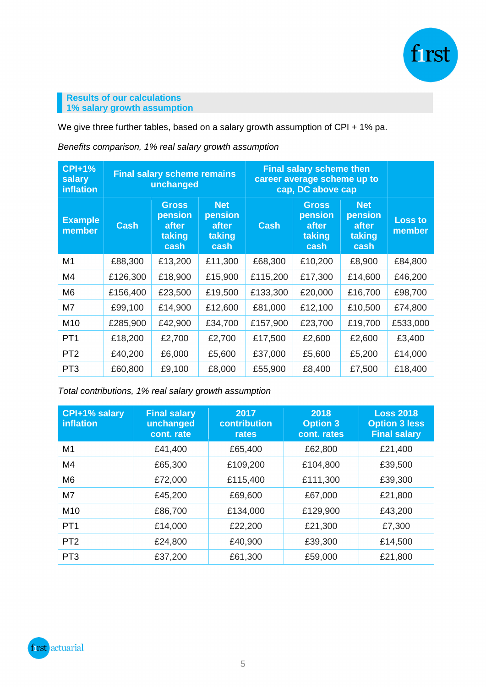

## **Results of our calculations 1% salary growth assumption**

We give three further tables, based on a salary growth assumption of CPI + 1% pa.

*Benefits comparison, 1% real salary growth assumption*

| <b>CPI+1%</b><br>salary<br>inflation | <b>Final salary scheme remains</b><br>unchanged |                                                    | <b>Final salary scheme then</b><br>career average scheme up to<br>cap, DC above cap |             |                                                    |                                                  |                          |
|--------------------------------------|-------------------------------------------------|----------------------------------------------------|-------------------------------------------------------------------------------------|-------------|----------------------------------------------------|--------------------------------------------------|--------------------------|
| <b>Example</b><br>member             | <b>Cash</b>                                     | <b>Gross</b><br>pension<br>after<br>taking<br>cash | <b>Net</b><br>pension<br>after<br>taking<br>cash                                    | <b>Cash</b> | <b>Gross</b><br>pension<br>after<br>taking<br>cash | <b>Net</b><br>pension<br>after<br>taking<br>cash | <b>Loss to</b><br>member |
| M <sub>1</sub>                       | £88,300                                         | £13,200                                            | £11,300                                                                             | £68,300     | £10,200                                            | £8,900                                           | £84,800                  |
| M4                                   | £126,300                                        | £18,900                                            | £15,900                                                                             | £115,200    | £17,300                                            | £14,600                                          | £46,200                  |
| M <sub>6</sub>                       | £156,400                                        | £23,500                                            | £19,500                                                                             | £133,300    | £20,000                                            | £16,700                                          | £98,700                  |
| M7                                   | £99,100                                         | £14,900                                            | £12,600                                                                             | £81,000     | £12,100                                            | £10,500                                          | £74,800                  |
| M10                                  | £285,900                                        | £42,900                                            | £34,700                                                                             | £157,900    | £23,700                                            | £19,700                                          | £533,000                 |
| PT <sub>1</sub>                      | £18,200                                         | £2,700                                             | £2,700                                                                              | £17,500     | £2,600                                             | £2,600                                           | £3,400                   |
| PT <sub>2</sub>                      | £40,200                                         | £6,000                                             | £5,600                                                                              | £37,000     | £5,600                                             | £5,200                                           | £14,000                  |
| PT <sub>3</sub>                      | £60,800                                         | £9,100                                             | £8,000                                                                              | £55,900     | £8,400                                             | £7,500                                           | £18,400                  |

*Total contributions, 1% real salary growth assumption* 

| CPI+1% salary<br>inflation | <b>Final salary</b><br>unchanged<br>cont. rate | 2017<br>contribution<br>rates | 2018<br><b>Option 3</b><br>cont. rates | <b>Loss 2018</b><br><b>Option 3 less</b><br><b>Final salary</b> |
|----------------------------|------------------------------------------------|-------------------------------|----------------------------------------|-----------------------------------------------------------------|
| M <sub>1</sub>             | £41,400                                        | £65,400                       | £62,800                                | £21,400                                                         |
| M4                         | £65,300                                        | £109,200                      | £104,800                               | £39,500                                                         |
| M <sub>6</sub>             | £72,000                                        | £115,400                      | £111,300                               | £39,300                                                         |
| M7                         | £45,200                                        | £69,600                       | £67,000                                | £21,800                                                         |
| M <sub>10</sub>            | £86,700                                        | £134,000                      | £129,900                               | £43,200                                                         |
| PT <sub>1</sub>            | £14,000                                        | £22,200                       | £21,300                                | £7,300                                                          |
| PT <sub>2</sub>            | £24,800                                        | £40,900                       | £39,300                                | £14,500                                                         |
| PT <sub>3</sub>            | £37,200                                        | £61,300                       | £59,000                                | £21,800                                                         |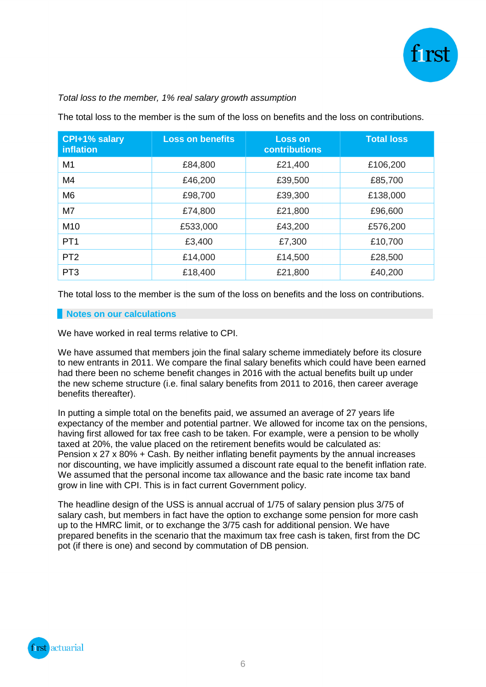

## *Total loss to the member, 1% real salary growth assumption*

The total loss to the member is the sum of the loss on benefits and the loss on contributions.

| CPI+1% salary<br>inflation | <b>Loss on benefits</b> | <b>Loss on</b><br><b>contributions</b> | <b>Total loss</b> |
|----------------------------|-------------------------|----------------------------------------|-------------------|
| M <sub>1</sub>             | £84,800                 | £21,400                                | £106,200          |
| M4                         | £46,200                 | £39,500                                | £85,700           |
| M <sub>6</sub>             | £98,700                 | £39,300                                | £138,000          |
| M7                         | £74,800                 | £21,800                                | £96,600           |
| M <sub>10</sub>            | £533,000                | £43,200                                | £576,200          |
| PT <sub>1</sub>            | £3,400                  | £7,300                                 | £10,700           |
| PT <sub>2</sub>            | £14,000                 | £14,500                                | £28,500           |
| PT <sub>3</sub>            | £18,400                 | £21,800                                | £40,200           |

The total loss to the member is the sum of the loss on benefits and the loss on contributions.

#### **Notes on our calculations**

We have worked in real terms relative to CPI.

We have assumed that members join the final salary scheme immediately before its closure to new entrants in 2011. We compare the final salary benefits which could have been earned had there been no scheme benefit changes in 2016 with the actual benefits built up under the new scheme structure (i.e. final salary benefits from 2011 to 2016, then career average benefits thereafter).

In putting a simple total on the benefits paid, we assumed an average of 27 years life expectancy of the member and potential partner. We allowed for income tax on the pensions, having first allowed for tax free cash to be taken. For example, were a pension to be wholly taxed at 20%, the value placed on the retirement benefits would be calculated as: Pension x 27 x 80% + Cash. By neither inflating benefit payments by the annual increases nor discounting, we have implicitly assumed a discount rate equal to the benefit inflation rate. We assumed that the personal income tax allowance and the basic rate income tax band grow in line with CPI. This is in fact current Government policy.

The headline design of the USS is annual accrual of 1/75 of salary pension plus 3/75 of salary cash, but members in fact have the option to exchange some pension for more cash up to the HMRC limit, or to exchange the 3/75 cash for additional pension. We have prepared benefits in the scenario that the maximum tax free cash is taken, first from the DC pot (if there is one) and second by commutation of DB pension.

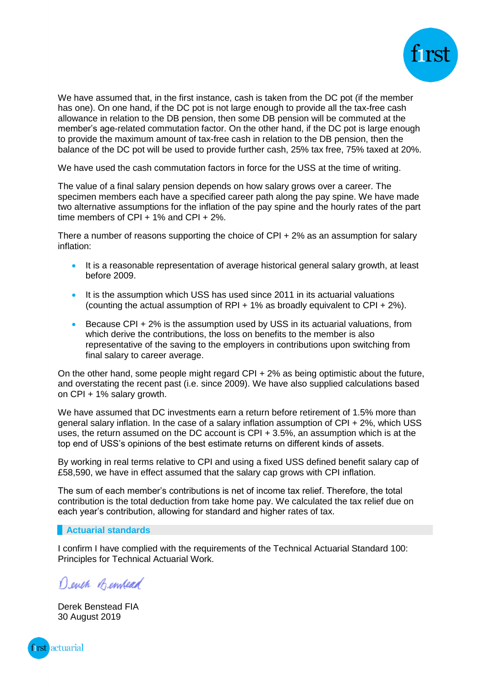

We have assumed that, in the first instance, cash is taken from the DC pot (if the member has one). On one hand, if the DC pot is not large enough to provide all the tax-free cash allowance in relation to the DB pension, then some DB pension will be commuted at the member's age-related commutation factor. On the other hand, if the DC pot is large enough to provide the maximum amount of tax-free cash in relation to the DB pension, then the balance of the DC pot will be used to provide further cash, 25% tax free, 75% taxed at 20%.

We have used the cash commutation factors in force for the USS at the time of writing.

The value of a final salary pension depends on how salary grows over a career. The specimen members each have a specified career path along the pay spine. We have made two alternative assumptions for the inflation of the pay spine and the hourly rates of the part time members of CPI + 1% and CPI + 2%.

There a number of reasons supporting the choice of CPI + 2% as an assumption for salary inflation:

- It is a reasonable representation of average historical general salary growth, at least before 2009.
- It is the assumption which USS has used since 2011 in its actuarial valuations (counting the actual assumption of RPI + 1% as broadly equivalent to CPI + 2%).
- Because CPI + 2% is the assumption used by USS in its actuarial valuations, from which derive the contributions, the loss on benefits to the member is also representative of the saving to the employers in contributions upon switching from final salary to career average.

On the other hand, some people might regard CPI + 2% as being optimistic about the future, and overstating the recent past (i.e. since 2009). We have also supplied calculations based on CPI + 1% salary growth.

We have assumed that DC investments earn a return before retirement of 1.5% more than general salary inflation. In the case of a salary inflation assumption of CPI + 2%, which USS uses, the return assumed on the DC account is CPI + 3.5%, an assumption which is at the top end of USS's opinions of the best estimate returns on different kinds of assets.

By working in real terms relative to CPI and using a fixed USS defined benefit salary cap of £58,590, we have in effect assumed that the salary cap grows with CPI inflation.

The sum of each member's contributions is net of income tax relief. Therefore, the total contribution is the total deduction from take home pay. We calculated the tax relief due on each year's contribution, allowing for standard and higher rates of tax.

#### **Actuarial standards**

I confirm I have complied with the requirements of the Technical Actuarial Standard 100: Principles for Technical Actuarial Work.

Denen Bennead

Derek Benstead FIA 30 August 2019

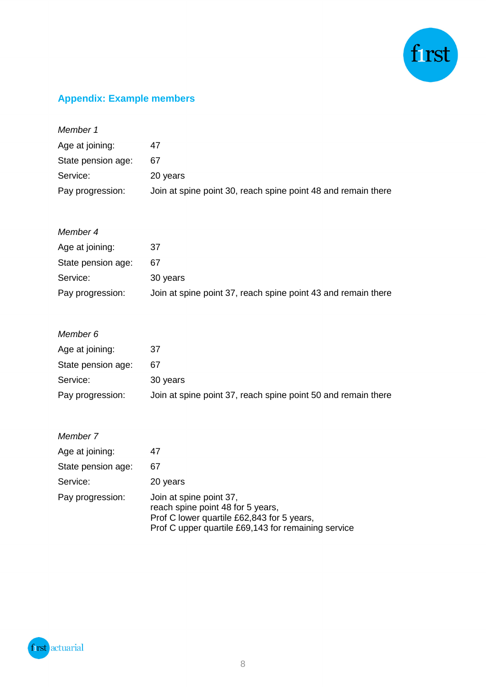

## **Appendix: Example members**

| 47                                                            |
|---------------------------------------------------------------|
| 67                                                            |
| 20 years                                                      |
| Join at spine point 30, reach spine point 48 and remain there |
|                                                               |

| Member 4           |                                                               |
|--------------------|---------------------------------------------------------------|
| Age at joining:    | 37                                                            |
| State pension age: | 67                                                            |
| Service:           | 30 years                                                      |
| Pay progression:   | Join at spine point 37, reach spine point 43 and remain there |

| 37                                                            |
|---------------------------------------------------------------|
| 67                                                            |
| 30 years                                                      |
| Join at spine point 37, reach spine point 50 and remain there |
|                                                               |

| Member 7           |                                                                                                                                                                   |
|--------------------|-------------------------------------------------------------------------------------------------------------------------------------------------------------------|
| Age at joining:    | 47                                                                                                                                                                |
| State pension age: | 67                                                                                                                                                                |
| Service:           | 20 years                                                                                                                                                          |
| Pay progression:   | Join at spine point 37,<br>reach spine point 48 for 5 years,<br>Prof C lower quartile £62,843 for 5 years,<br>Prof C upper quartile £69,143 for remaining service |